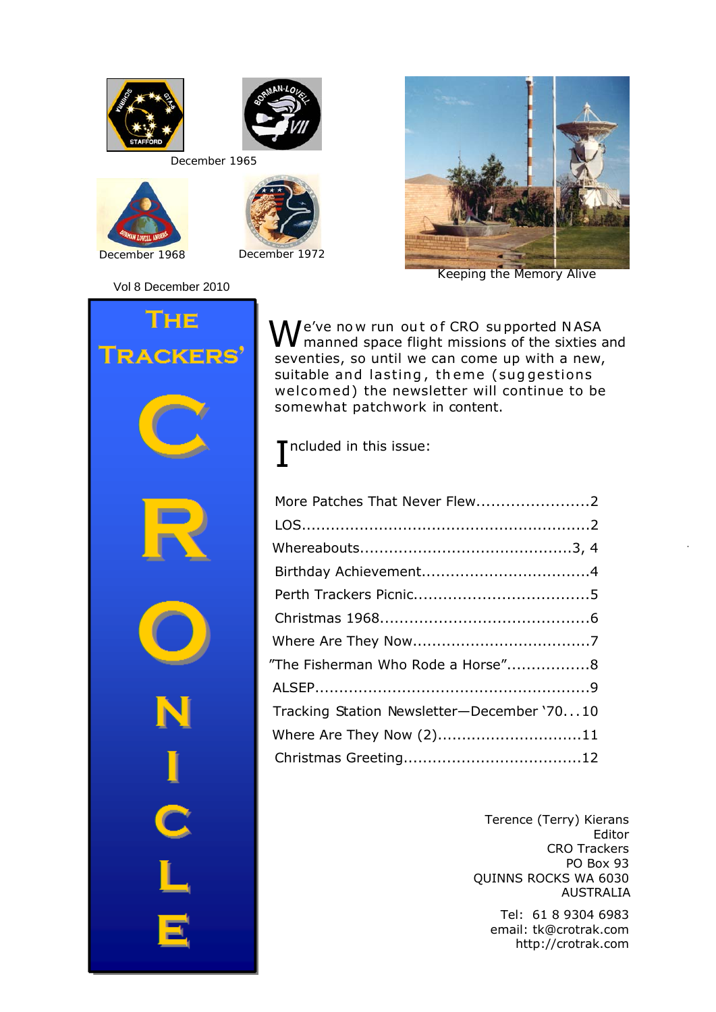



*December 1965*





Vol 8 December 2010



*Keeping the Memory Alive*



We've now run out of CRO supported NASA<br>
Menned space flight missions of the sixties and seventies, so until we can come up with a new, suitable and lasting, theme (suggestions welcomed) the newsletter will continue to be somewhat patchwork in content.

I ncluded in this issue:

| More Patches That Never Flew2              |
|--------------------------------------------|
|                                            |
|                                            |
|                                            |
|                                            |
|                                            |
|                                            |
| "The Fisherman Who Rode a Horse"8          |
|                                            |
| Tracking Station Newsletter-December '7010 |
| Where Are They Now (2)11                   |
|                                            |

Terence (Terry) Kierans Editor CRO Trackers PO Box 93 QUINNS ROCKS WA 6030 AUSTRALIA

Tel: 61 8 9304 6983 email: tk@crotrak.com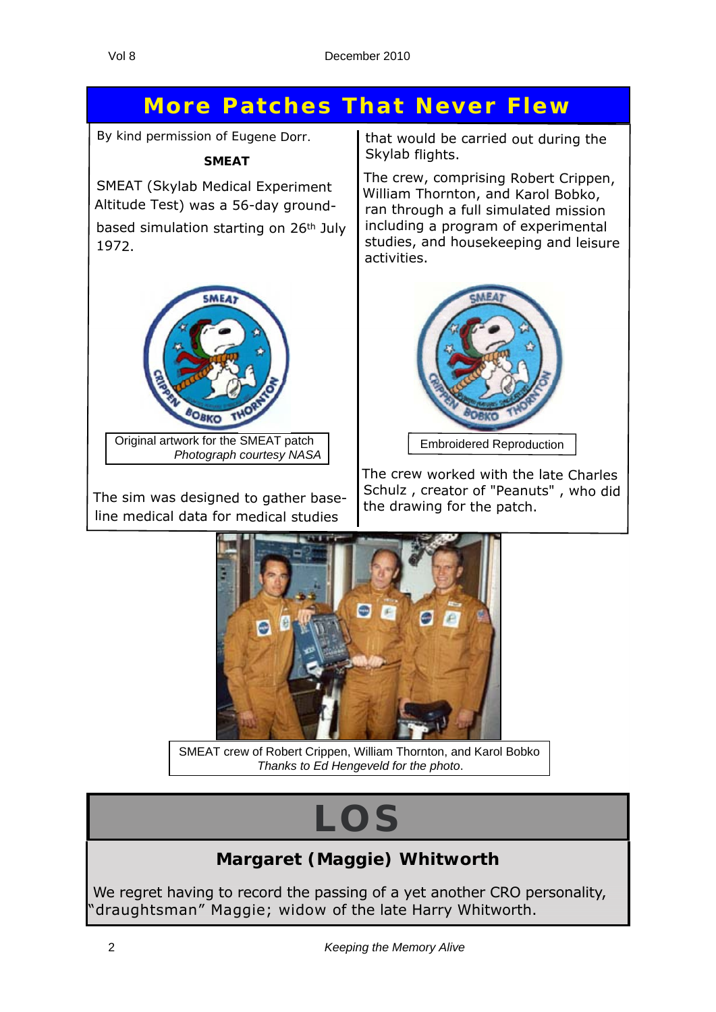## **More Patches That Never Flew**

*By kind permission of Eugene Dorr.*

**SMEAT**

SMEAT (Skylab Medical Experiment Altitude Test) was <sup>a</sup> 56-day groundbased simulation starting on 26th July 1972.



Original artwork for the SMEAT patch *Photograph courtesy NASA*

The sim was designed to gather baseline medical data for medical studies

that would be carried out during the Skylab flights.

The crew, comprising Robert Crippen, William Thornton, and Karol Bobko, ran through <sup>a</sup> full simulated mission including <sup>a</sup> program of experimental studies, and housekeeping and leisure activities.



The crew worked with the late Charles Schulz , creator of "Peanuts" , who did the drawing for the patch.



SMEAT crew of Robert Crippen, William Thornton, and Karol Bobko *Thanks to Ed Hengeveld for the photo*.

## **LOS**

### **Margaret (Maggie) Whitworth**

We regret having to record the passing of a yet another CRO personality, "draughtsman" Maggie; widow of the late Harry Whitworth.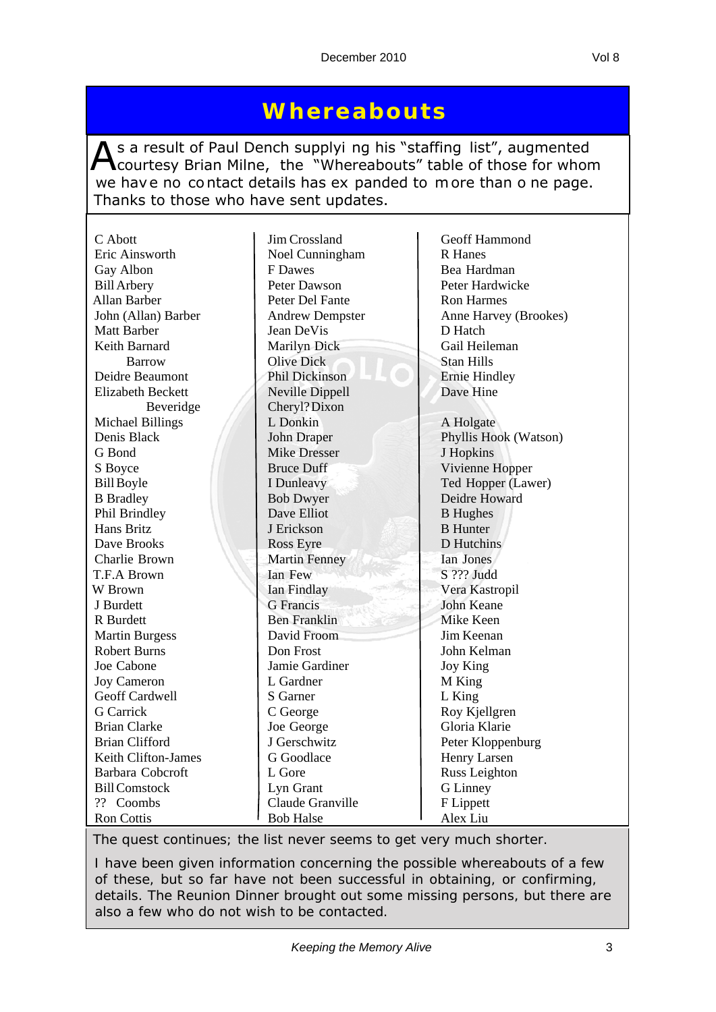As a result of Paul Dench supplyi ng his "staffing list", augmented<br>Courtesy Brian Milne, the "Whereabouts" table of those for whom we have no contact details has ex panded to more than o ne page. Thanks to those who have sent updates.

| C Abott                                      | Jim Crossland              | Geoff Hammond         |
|----------------------------------------------|----------------------------|-----------------------|
| Eric Ainsworth                               | Noel Cunningham            | <b>R</b> Hanes        |
| Gay Albon                                    | F Dawes                    | Bea Hardman           |
| <b>Bill Arbery</b>                           | Peter Dawson               | Peter Hardwicke       |
| Allan Barber                                 | Peter Del Fante            | <b>Ron Harmes</b>     |
| John (Allan) Barber                          | <b>Andrew Dempster</b>     | Anne Harvey (Brookes) |
| <b>Matt Barber</b>                           | Jean DeVis                 | D Hatch               |
| Keith Barnard                                | <b>Marilyn Dick</b>        | Gail Heileman         |
| <b>Barrow</b>                                | <b>Olive Dick</b>          | <b>Stan Hills</b>     |
| Deidre Beaumont                              | Phil Dickinson             | <b>Ernie Hindley</b>  |
| <b>Elizabeth Beckett</b>                     | Neville Dippell            | Dave Hine             |
| Beveridge                                    | Cheryl? Dixon              |                       |
| <b>Michael Billings</b>                      | L Donkin                   | A Holgate             |
| Denis Black                                  | John Draper                | Phyllis Hook (Watson) |
| G Bond                                       | <b>Mike Dresser</b>        | J Hopkins             |
| S Boyce                                      | <b>Bruce Duff</b>          | Vivienne Hopper       |
| <b>Bill Boyle</b>                            | I Dunleavy                 | Ted Hopper (Lawer)    |
| <b>B</b> Bradley                             | <b>Bob Dwyer</b>           | Deidre Howard         |
| Phil Brindley                                | Dave Elliot                | <b>B</b> Hughes       |
| Hans Britz                                   | J Erickson                 | <b>B</b> Hunter       |
| Dave Brooks                                  | Ross Eyre                  | D Hutchins            |
| Charlie Brown                                | <b>Martin Fenney</b>       | Ian Jones             |
| T.F.A Brown                                  | Ian Few                    | S ??? Judd            |
| W Brown                                      | Ian Findlay                | Vera Kastropil        |
| J Burdett                                    | <b>G</b> Francis           | John Keane            |
| R Burdett                                    | <b>Ben Franklin</b>        | Mike Keen             |
| <b>Martin Burgess</b>                        | David Froom                | Jim Keenan            |
| <b>Robert Burns</b>                          | Don Frost                  | John Kelman           |
| Joe Cabone                                   | Jamie Gardiner             |                       |
|                                              | L Gardner                  | Joy King              |
| <b>Joy Cameron</b><br>Geoff Cardwell         |                            | M King                |
| <b>G</b> Carrick                             | S Garner                   | L King                |
|                                              | C George                   | Roy Kjellgren         |
| <b>Brian Clarke</b><br><b>Brian Clifford</b> | Joe George<br>J Gerschwitz | Gloria Klarie         |
|                                              |                            | Peter Kloppenburg     |
| Keith Clifton-James                          | G Goodlace                 | Henry Larsen          |
| <b>Barbara Cobcroft</b>                      | L Gore                     | Russ Leighton         |
| <b>Bill Comstock</b>                         | Lyn Grant                  | <b>G</b> Linney       |
| ?? Coombs                                    | Claude Granville           | F Lippett             |
| Ron Cottis                                   | <b>Bob Halse</b>           | Alex Liu              |

*The quest continues; the list never seems to get very much shorter.*

*I have been given information concerning the possible whereabouts of a few of these, but so far have not been successful in obtaining, or confirming, details. The Reunion Dinner brought out some missing persons, but there are also a few who do not wish to be contacted.*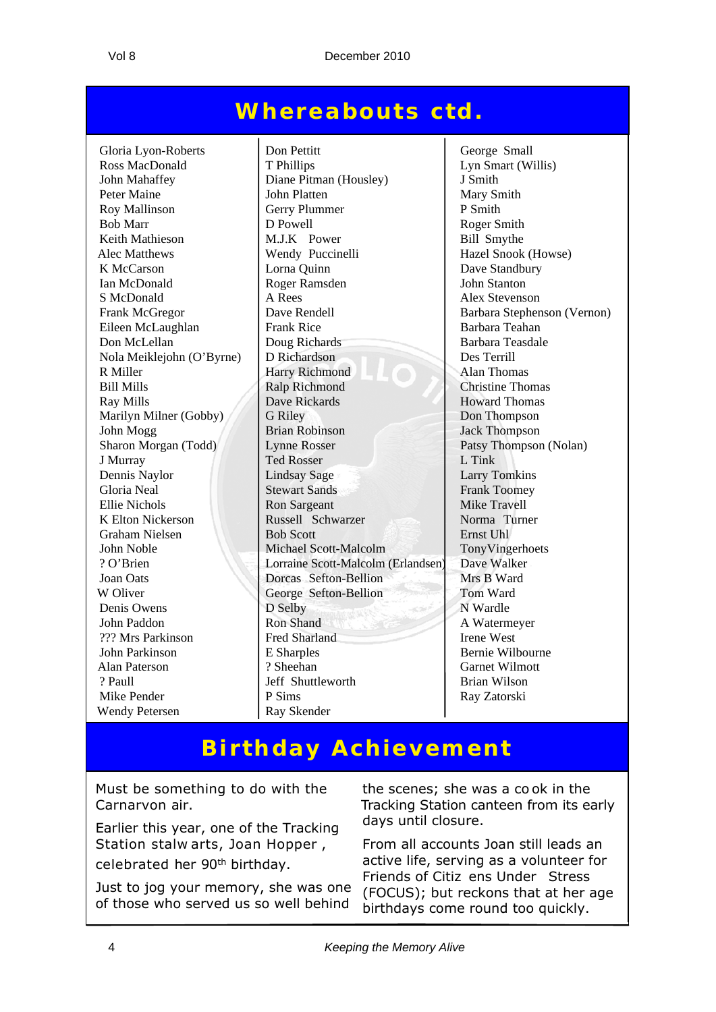## **Whereabouts ctd.**

Nola Meiklejohn  $(O'B$ yrne) D Richardson K Elton Nickerson Russell Schwarzer Wendy Petersen Ray Skender

Gloria Lyon-Roberts Don Pettitt George Small<br>
Ross MacDonald T Phillips Lyn Smart (W) T Phillips Lyn Smart (Willis) John Mahaffey Diane Pitman (Housley) J Smith Peter Maine John Platten Mary Smith Roy Mallinson Gerry Plummer P Smith Bob Marr D Powell Roger Smith Keith Mathieson M.J.K Power Bill Smythe Alec Matthews Wendy Puccinelli Hazel Snook (Howse) K McCarson Lorna Quinn Dave Standbury Ian McDonald Roger Ramsden John Stanton S McDonald A Rees Alex Stevenson Frank McGregor Dave Rendell Barbara Stephenson (Vernon) Eileen McLaughlan Frank Rice Barbara Teahan Don McLellan Doug Richards<br>
Doug Richards<br>
Des Terrill<br>
Des Terrill<br>
Des Terrill R Miller **Harry Richmond** Alan Thomas Bill Mills Ralp Richmond Christine Thomas Ray Mills **Ray Mills** Dave Rickards **Howard Thomas** Marilyn Milner (Gobby) G Riley Don Thompson<br>
John Mogg<br>
Jack Thompson<br>
Jack Thompson John Mogg Brian Robinson Jack Thompson Sharon Morgan (Todd) Lynne Rosser Patsy Thompson (Nolan) J Murray Ted Rosser L Tink Dennis Naylor Lindsay Sage Larry Tomkins Gloria Neal Stewart Sands Frank Toomey Ellie Nichols<br>
K Elton Nickerson Russell Schwarzer Mike Travell<br>
Russell Schwarzer Norma Turner Graham Nielsen Bob Scott Ernst Uhl John Noble Michael Scott-Malcolm TonyVingerhoets ? O'Brien Lorraine Scott-Malcolm (Erlandsen) Dave Walker Joan Oats **Dorcas Sefton-Bellion** Mrs B Ward W Oliver George Sefton-Bellion Tom Ward Denis Owens D Selby N Wardle John Paddon Ron Shand Ron Shand A Watermeyer ??? Mrs Parkinson Fred Sharland Irene West John Parkinson E Sharples Bernie Wilbourne Alan Paterson ? Sheehan Garnet Wilmott ? Paull Jeff Shuttleworth Finan Wilson<br>
P Sims
Brian Wilson<br>
Ray Zatorski Mike Pender P Sims Ray Zatorski

## **Birthday Achievement**

Must be something to do with the Carnarvon air.

Earlier this year, one of the Tracking Station stalw arts, Joan Hopper , celebrated her 90th birthday.

Just to jog your memory, she was one of those who served us so well behind

the scenes; she was a co ok in the Tracking Station canteen from its early days until closure.

From all accounts Joan still leads an active life, serving as a volunteer for Friends of Citiz ens Under Stress (FOCUS); but reckons that at her age birthdays come round too quickly.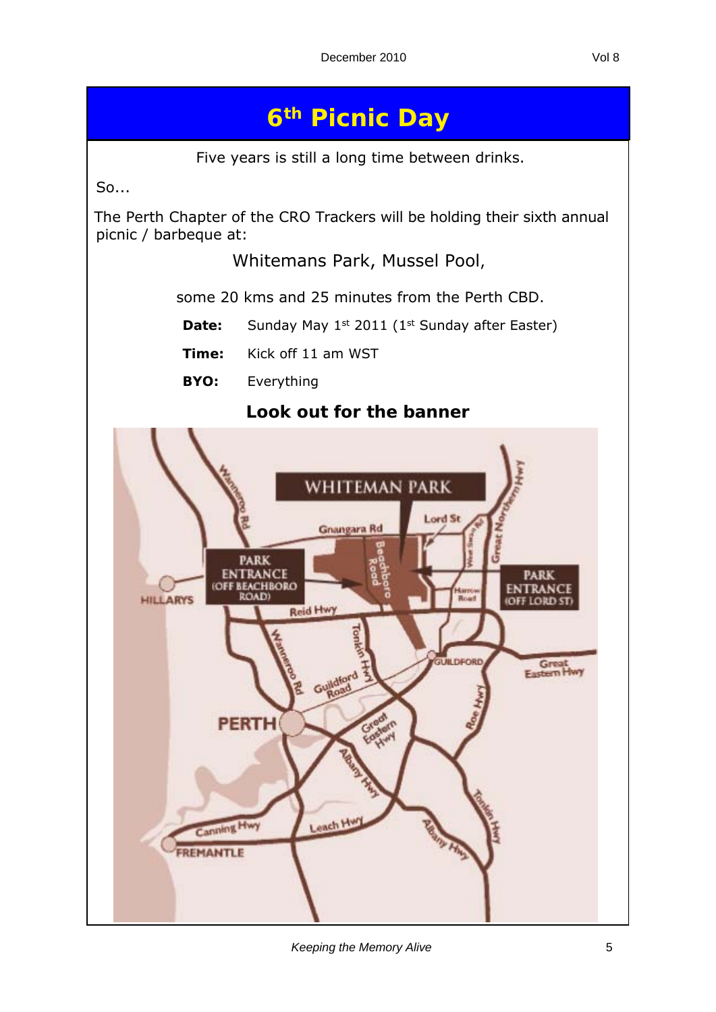## **6th Picnic Day**

Five years is still a long time between drinks.

So...

The Perth Chapter of the CRO Trackers will be holding their sixth annual picnic / barbeque at:

Whitemans Park, Mussel Pool,

some 20 kms and 25 minutes from the Perth CBD.

- **Date:** Sunday May 1<sup>st</sup> 2011 (1<sup>st</sup> Sunday after Easter)
- **Time:** Kick off 11 am WST

 **BYO:** Everything

#### **Look out for the banner**



*Keeping the Memory Alive* 5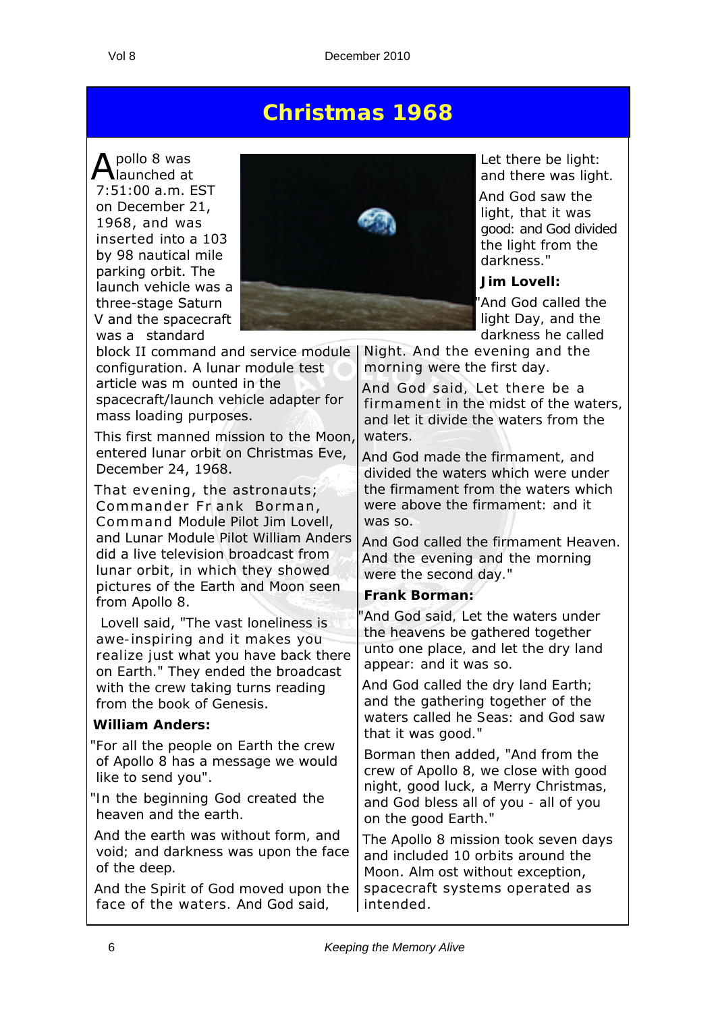## **Christmas 1968**

Apollo 8 was launched at 7:51:00 a.m. EST on December 21, 1968, and was inserted into a 103 by 98 nautical mile parking orbit. The launch vehicle was a three-stage Saturn V and the spacecraft was a standard



This first manned mission to the Moon, entered lunar orbit on Christmas Eve, December 24, 1968.

That evening, the astronauts; Commander Fr ank Borman, Command Module Pilot Jim Lovell, and Lunar Module Pilot William Anders did a live television broadcast from lunar orbit, in which they showed pictures of the Earth and Moon seen from Apollo 8.

 Lovell said, "*The vast loneliness is awe-inspiring and it makes you realize just what you have back there on Earth.*" They ended the broadcast with the crew taking turns reading from the book of Genesis.

#### **William Anders:**

- "*For all the people on Earth the crew of Apollo 8 has a message we would like to send you*".
- "*In the beginning God created the heaven and the earth.*

*And the earth was without form, and void; and darkness was upon the face of the deep.*

*And the Spirit of God moved upon the face of the waters. And God said,* 



*Let there be light: and there was light.*

*And God saw the light, that it was good: and God divided the light from the darkness.*"

#### **Jim Lovell:**

"*And God called the light Day, and the darkness he called* 

*Night. And the evening and the morning were the first day.*

*And God said, Let there be a firmament in the midst of the waters, and let it divide the waters from the waters.*

*And God made the firmament, and divided the waters which were under the firmament from the waters which were above the firmament: and it was so.*

*And God called the firmament Heaven. And the evening and the morning were the second day.*"

#### **Frank Borman:**

"*And God said, Let the waters under the heavens be gathered together unto one place, and let the dry land appear: and it was so.*

*And God called the dry land Earth; and the gathering together of the waters called he Seas: and God saw that it was good.*"

Borman then added, "*And from the crew of Apollo 8, we close with good night, good luck, a Merry Christmas, and God bless all of you - all of you on the good Earth.*"

The Apollo 8 mission took seven days and included 10 orbits around the Moon. Alm ost without exception, spacecraft systems operated as intended.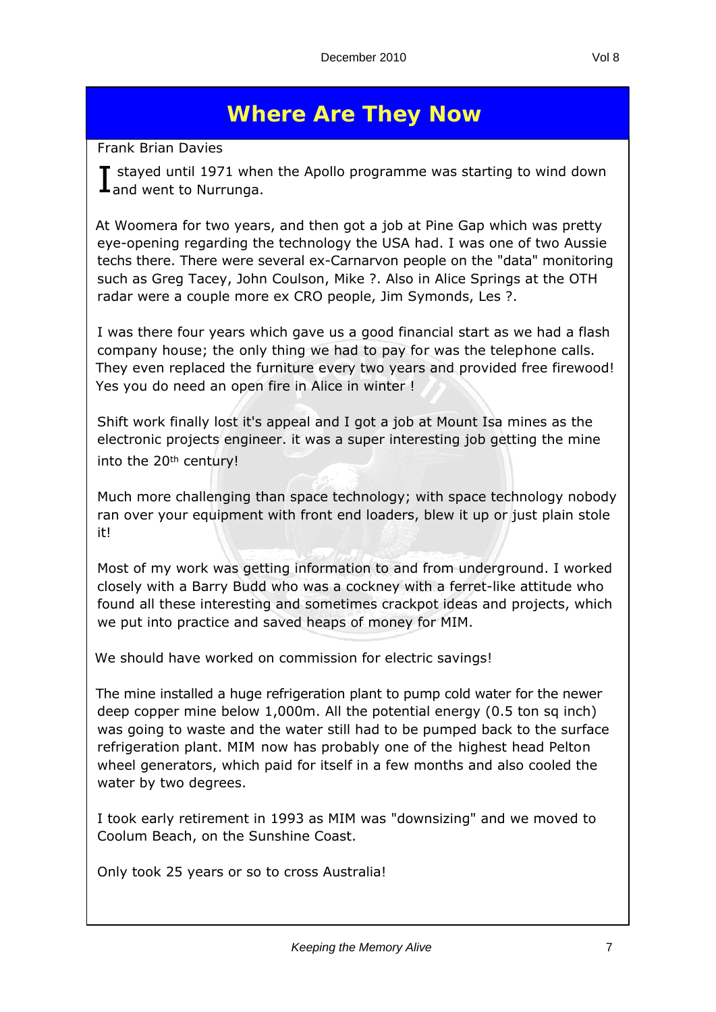## **Where Are They Now**

*Frank Brian Davies*

I stayed until 1971 whe<br>Land went to Nurrunga.  $\blacksquare$  stayed until 1971 when the Apollo programme was starting to wind down

At Woomera for two years, and then got a job at Pine Gap which was pretty eye-opening regarding the technology the USA had. I was one of two Aussie techs there. There were several ex-Carnarvon people on the "data" monitoring such as Greg Tacey, John Coulson, Mike ?. Also in Alice Springs at the OTH radar were a couple more ex CRO people, Jim Symonds, Les ?.

I was there four years which gave us a good financial start as we had a flash company house; the only thing we had to pay for was the telephone calls. They even replaced the furniture every two years and provided free firewood! Yes you do need an open fire in Alice in winter !

Shift work finally lost it's appeal and I got a job at Mount Isa mines as the electronic projects engineer. it was a super interesting job getting the mine into the 20<sup>th</sup> century!

Much more challenging than space technology; with space technology nobody ran over your equipment with front end loaders, blew it up or just plain stole it!

Most of my work was getting information to and from underground. I worked closely with a Barry Budd who was a cockney with a ferret-like attitude who found all these interesting and sometimes crackpot ideas and projects, which we put into practice and saved heaps of money for MIM.

We should have worked on commission for electric savings!

The mine installed a huge refrigeration plant to pump cold water for the newer deep copper mine below 1,000m. All the potential energy (0.5 ton sq inch) was going to waste and the water still had to be pumped back to the surface refrigeration plant. MIM now has probably one of the highest head Pelton wheel generators, which paid for itself in a few months and also cooled the water by two degrees.

I took early retirement in 1993 as MIM was "downsizing" and we moved to Coolum Beach, on the Sunshine Coast.

Only took 25 years or so to cross Australia!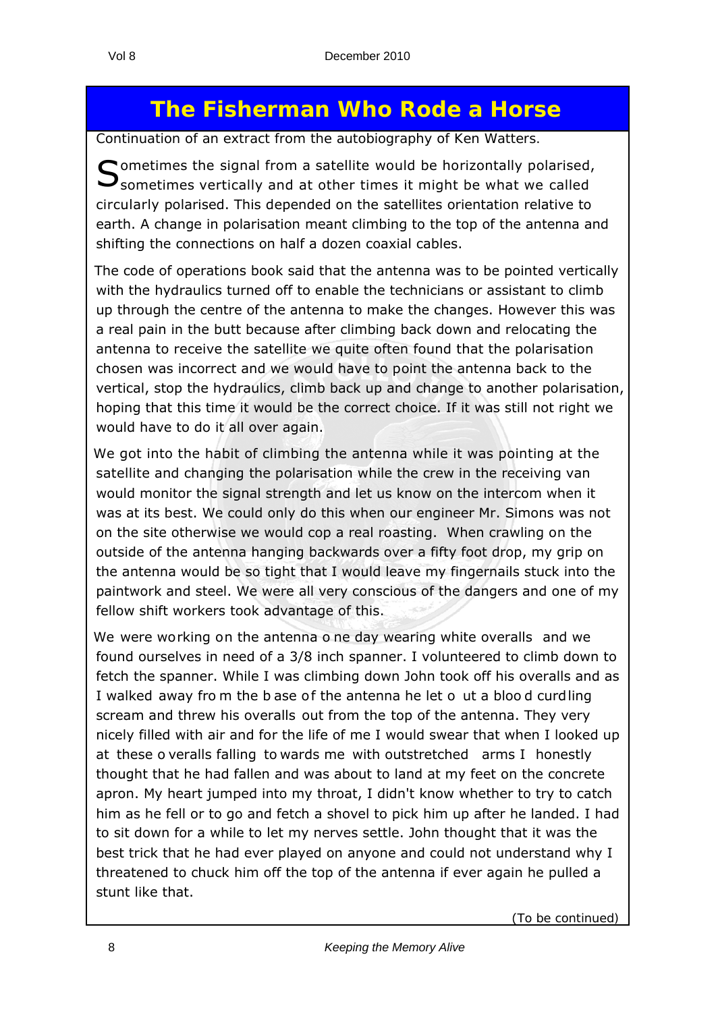## **The Fisherman Who Rode a Horse**

*Continuation of an extract from the autobiography of Ken Watters.*

 $\bigcap$  ometimes the signal from a satellite would be horizontally polarised,  $\bigcup$  sometimes vertically and at other times it might be what we called circularly polarised. This depended on the satellites orientation relative to earth. A change in polarisation meant climbing to the top of the antenna and shifting the connections on half a dozen coaxial cables.

The code of operations book said that the antenna was to be pointed vertically with the hydraulics turned off to enable the technicians or assistant to climb up through the centre of the antenna to make the changes. However this was a real pain in the butt because after climbing back down and relocating the antenna to receive the satellite we quite often found that the polarisation chosen was incorrect and we would have to point the antenna back to the vertical, stop the hydraulics, climb back up and change to another polarisation, hoping that this time it would be the correct choice. If it was still not right we would have to do it all over again.

We got into the habit of climbing the antenna while it was pointing at the satellite and changing the polarisation while the crew in the receiving van would monitor the signal strength and let us know on the intercom when it was at its best. We could only do this when our engineer Mr. Simons was not on the site otherwise we would cop a real roasting. When crawling on the outside of the antenna hanging backwards over a fifty foot drop, my grip on the antenna would be so tight that I would leave my fingernails stuck into the paintwork and steel. We were all very conscious of the dangers and one of my fellow shift workers took advantage of this.

We were working on the antenna o ne day wearing white overalls and we found ourselves in need of a 3/8 inch spanner. I volunteered to climb down to fetch the spanner. While I was climbing down John took off his overalls and as I walked away from the b ase of the antenna he let o ut a blood curdling scream and threw his overalls out from the top of the antenna. They very nicely filled with air and for the life of me I would swear that when I looked up at these o veralls falling to wards me with outstretched arms I honestly thought that he had fallen and was about to land at my feet on the concrete apron. My heart jumped into my throat, I didn't know whether to try to catch him as he fell or to go and fetch a shovel to pick him up after he landed. I had to sit down for a while to let my nerves settle. John thought that it was the best trick that he had ever played on anyone and could not understand why I threatened to chuck him off the top of the antenna if ever again he pulled a stunt like that.

(*To be continued)*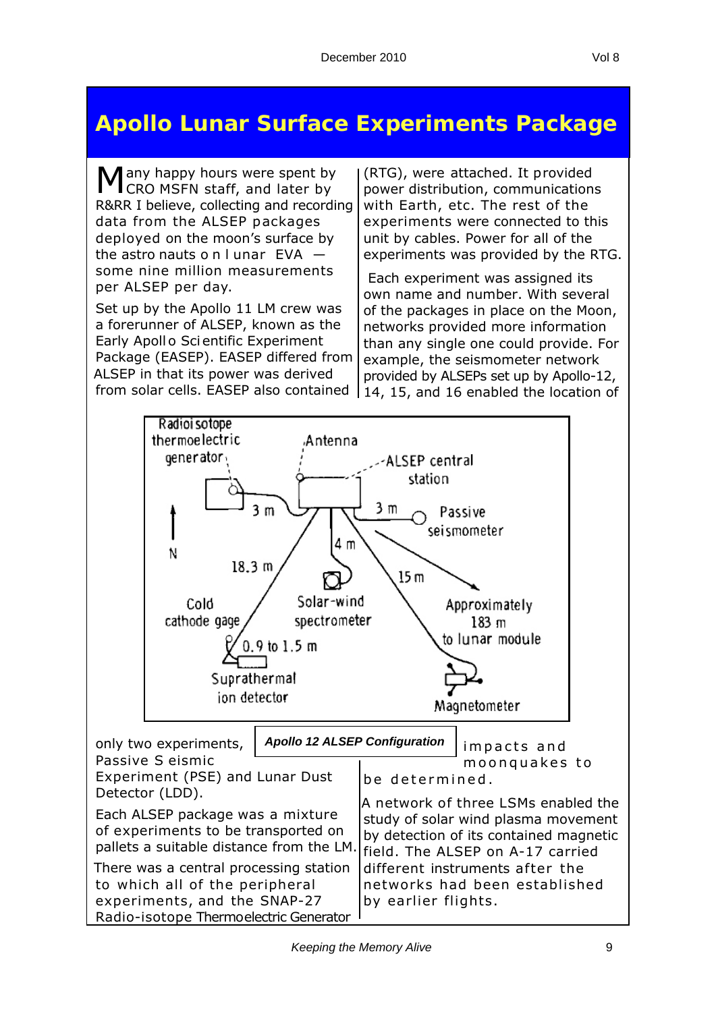## **Apollo Lunar Surface Experiments Package**

Many happy hours were spent by<br>CRO MSFN staff, and later by R&RR I believe, collecting and recording data from the ALSEP packages deployed on the moon's surface by the astro nauts o n l unar EVA some nine million measurements per ALSEP per day.

Set up by the Apollo 11 LM crew was a forerunner of ALSEP, known as the Early Apoll o Sci entific Experiment Package (EASEP). EASEP differed from ALSEP in that its power was derived from solar cells. EASEP also contained

(RTG), were attached. It provided power distribution, communications with Earth, etc. The rest of the experiments were connected to this unit by cables. Power for all of the experiments was provided by the RTG.

 Each experiment was assigned its own name and number. With several of the packages in place on the Moon, networks provided more information than any single one could provide. For example, the seismometer network provided by ALSEPs set up by Apollo-12, 14, 15, and 16 enabled the location of

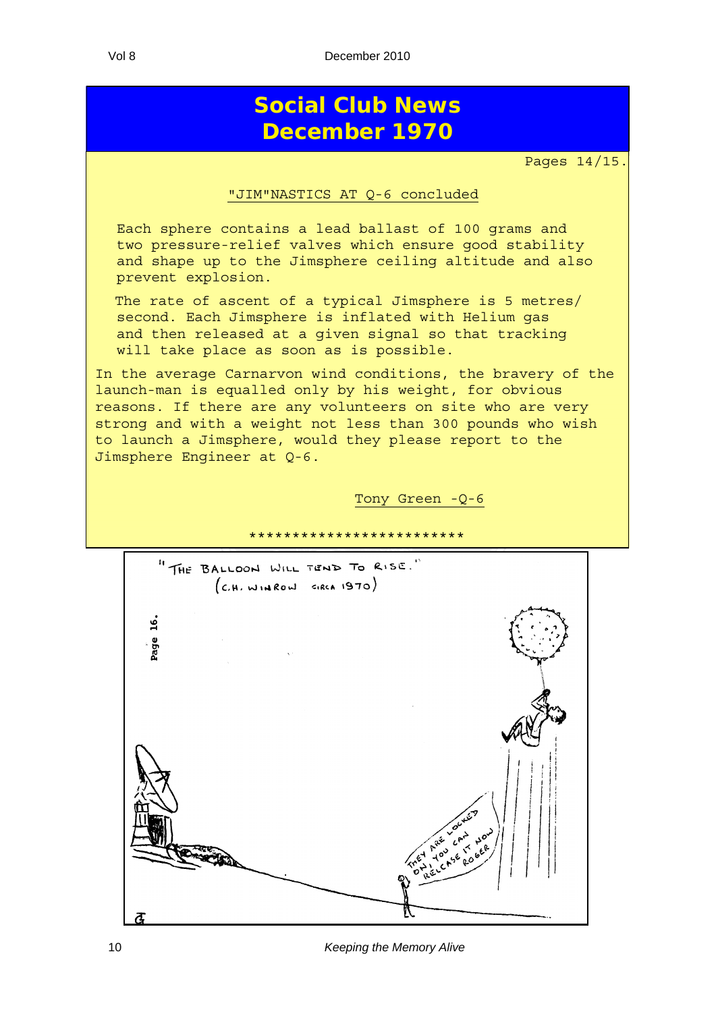## **Social Club News December 1970**

Pages 14/15.

#### "JIM"NASTICS AT Q-6 concluded

Each sphere contains a lead ballast of 100 grams and two pressure-relief valves which ensure good stability and shape up to the Jimsphere ceiling altitude and also prevent explosion.

The rate of ascent of a typical Jimsphere is 5 metres/ second. Each Jimsphere is inflated with Helium gas and then released at a given signal so that tracking will take place as soon as is possible.

In the average Carnarvon wind conditions, the bravery of the launch-man is equalled only by his weight, for obvious reasons. If there are any volunteers on site who are very strong and with a weight not less than 300 pounds who wish to launch a Jimsphere, would they please report to the Jimsphere Engineer at Q-6.

Tony Green -Q-6



10 *Keeping the Memory Alive*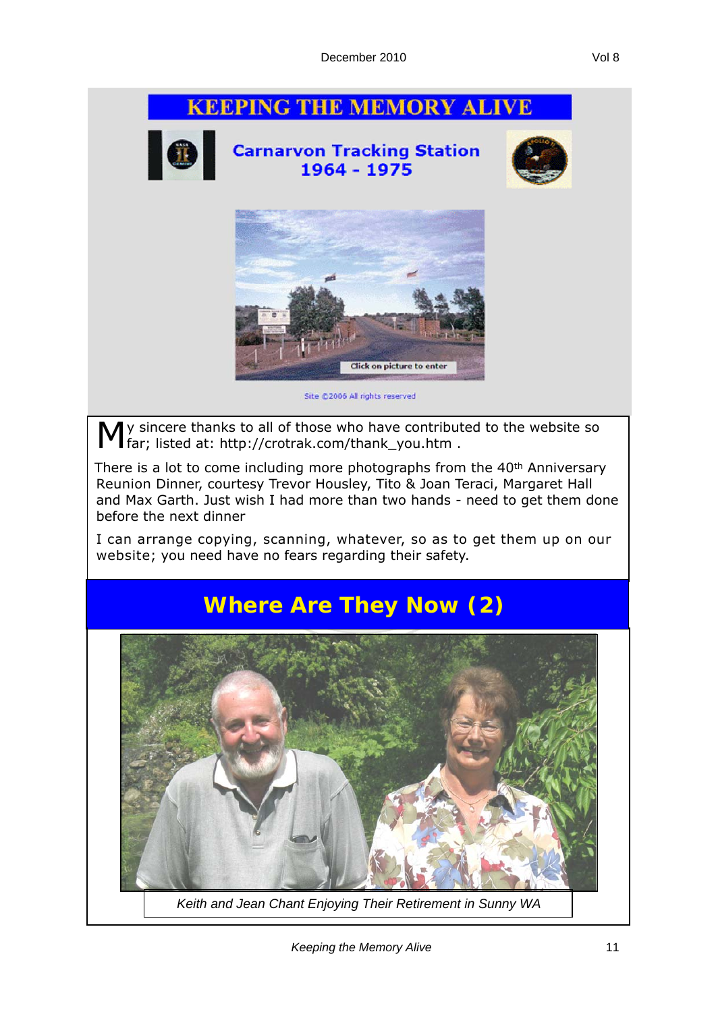## **KEEPING THE MEMORY ALIVE Carnarvon Tracking Station**<br>1964 - 1975 **Click on picture to enter** Site @2006 All rights reserved y sincere thanks to all of those who have contributed to the website so far; listed at: http://crotrak.com/thank\_you.htm . There is a lot to come including more photographs from the 40<sup>th</sup> Anniversary Reunion Dinner, courtesy Trevor Housley, Tito & Joan Teraci, Margaret Hall and Max Garth. Just wish I had more than two hands - need to get them done before the next dinner I can arrange copying, scanning, whatever, so as to get them up on our website; you need have no fears regarding their safety. **Where Are They Now (2)** *Keith and Jean Chant Enjoying Their Retirement in Sunny WA*

*Keeping the Memory Alive* 11